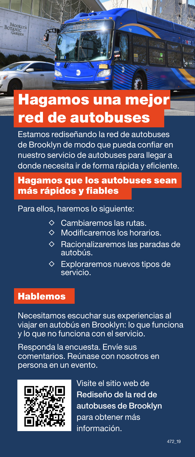## Hagamos una mejor red de autobuses

面

Estamos rediseñando la red de autobuses de Brooklyn de modo que pueda confiar en nuestro servicio de autobuses para llegar a donde necesita ir de forma rápida y eficiente.

#### Hagamos que los autobuses sean más rápidos y fiables

Para ellos, haremos lo siguiente:

- $\diamond$  Cambiaremos las rutas.
- $\diamond$  Modificaremos los horarios.
- $\diamond$  Racionalizaremos las paradas de autobús.
- $\diamond$  Exploraremos nuevos tipos de servicio.

#### Hablemos

Necesitamos escuchar sus experiencias al viajar en autobús en Brooklyn: lo que funciona y lo que no funciona con el servicio.

Responda la encuesta. Envíe sus comentarios. Reúnase con nosotros en persona en un evento.



Visite el sitio web de Rediseño de la red de autobuses de Brooklyn para obtener más información.

**Time**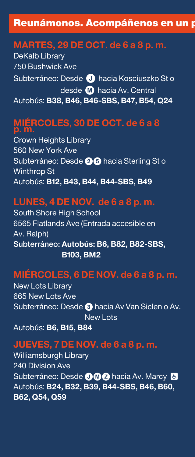#### Reunámonos. Acompáñenos en un p

#### **MARTES, 29 DE OCT. de 6 a 8 p. m.**

DeKalb Library 750 Bushwick Ave Subterráneo: Desde **J** hacia Kosciuszko Sto desde M hacia Av. Central Autobús: **B38, B46, B46-SBS, B47, B54, Q24**

#### **MIÉRCOLES, 30 DE OCT. de 6 a 8 p. m.**

Crown Heights Library 560 New York Ave Subterráneo: Desde 26 hacia Sterling St o Winthrop St Autobús: **B12, B43, B44, B44-SBS, B49**

#### **LUNES, 4 DE NOV. de 6 a 8 p. m.**

South Shore High School 6565 Flatlands Ave (Entrada accesible en Av. Ralph) Subterráneo: **Autobús: B6, B82, B82-SBS, B103, BM2**

## **MIÉRCOLES, 6 DE NOV. de 6 a 8 p. m.**

New Lots Library 665 New Lots Ave Subterráneo: Desde <sup>3</sup> hacia Av Van Siclen o Av. New Lots

Autobús: **B6, B15, B84**

#### **JUEVES, 7 DE NOV. de 6 a 8 p. m.**

Williamsburgh Library 240 Division Ave Subterráneo: Desde **OMZ** hacia Av. Marcy & Autobús: **B24, B32, B39, B44-SBS, B46, B60, B62, Q54, Q59**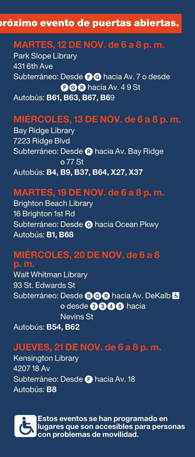#### róximo evento de puertas abiertas.

#### **MARTES, 12 DE NOV. de 6 a 8 p. m.**

Park Slope Library 431 6th Ave Subterráneo: Desde **OG** hacia Av. 7 o desde FGR hacia Av. 4 9 St Autobús: **B61, B63, B67, B6**9

#### **MIÉRCOLES, 13 DE NOV. de 6 a 8 p. m.**

Bay Ridge Library 7223 Ridge Blvd Subterráneo: Desde <sup>R</sup> hacia Av. Bay Ridge o 77 St Autobús: **B4, B9, B37, B64, X27, X37**

#### **MARTES, 19 DE NOV. de 6 a 8 p. m.**

Brighton Beach Library 16 Brighton 1st Rd Subterráneo: Desde **O** hacia Ocean Pkwy Autobús: **B1, B68**

#### **MIÉRCOLES, 20 DE NOV. de 6 a 8**

**p. m.** Walt Whitman Library 93 St. Edwards St Subterráneo: Desde **BQ**® hacia Av. DeKalb <mark>&</mark> o desde **2646** hacia Nevins St Autobús: **B54, B62**

#### **JUEVES, 21 DE NOV. de 6 a 8 p. m.**

Kensington Library 4207 18 Av Subterráneo: Desde **O** hacia Av. 18 Autobús: **B8**



**Estos eventos se han programado en <br>
□ lugares que son accesibles para perse<br>
con problemas de movilidad. lugares que son accesibles para personas con problemas de movilidad.**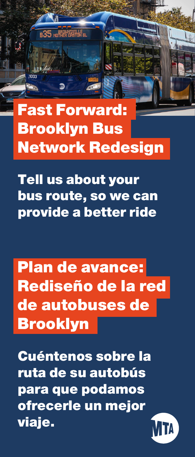# Fast Forward: Brooklyn Bus Network Redesign

**B35 HOPPER CASTELY** BI

 $\mathbf{D}$ 

Tell us about your bus route, so we can provide a better ride

Plan de avance: Rediseño de la red de autobuses de Brooklyn

Cuéntenos sobre la ruta de su autobús para que podamos ofrecerle un mejor viaje.

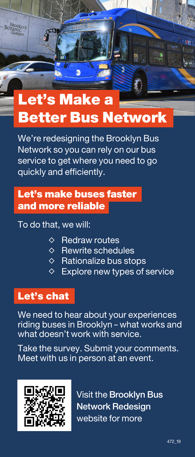## Let's Make a Better Bus Network

加

We're redesigning the Brooklyn Bus Network so you can rely on our bus service to get where you need to go quickly and efficiently.

## Let's make buses faster and more reliable

#### To do that, we will:

- $\Diamond$  Redraw routes
- $\diamond$  Rewrite schedules
- $\diamond$  Rationalize bus stops
- $\Diamond$  Explore new types of service

#### Let's chat

We need to hear about your experiences riding buses in Brooklyn – what works and what doesn't work with service.

Take the survey. Submit your comments. Meet with us in person at an event.



Visit the Brooklyn Bus Network Redesign website for more

**Time**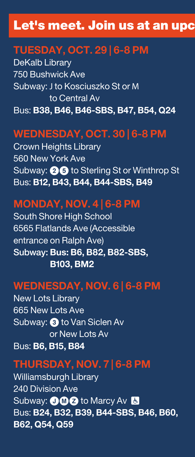## Let's meet. Join us at an upc

#### **TUESDAY, OCT. 29 | 6-8 PM**

DeKalb Library 750 Bushwick Ave Subway: J to Kosciuszko St or M to Central Av Bus: **B38, B46, B46-SBS, B47, B54, Q24**

## **WEDNESDAY, OCT. 30 | 6-8 PM**

Crown Heights Library 560 New York Ave Subway: **26** to Sterling St or Winthrop St Bus: **B12, B43, B44, B44-SBS, B49**

## **MONDAY, NOV. 4 | 6-8 PM**

South Shore High School 6565 Flatlands Ave (Accessible entrance on Ralph Ave) Subway: **Bus: B6, B82, B82-SBS, B103, BM2**

## **WEDNESDAY, NOV. 6 | 6-8 PM**

New Lots Library 665 New Lots Ave Subway: 3 to Van Siclen Av or New Lots Av Bus: **B6, B15, B84**

### **THURSDAY, NOV. 7 | 6-8 PM**

Williamsburgh Library 240 Division Ave Subway: **JM2** to Marcy Av & Bus: **B24, B32, B39, B44-SBS, B46, B60, B62, Q54, Q59**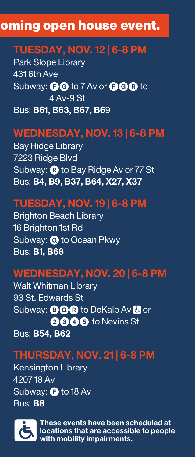## oming open house event.

## **TUESDAY, NOV. 12 | 6-8 PM**

Park Slope Library 431 6th Ave Subway: **BG** to 7 Av or **BGR** to 4 Av-9 St Bus: **B61, B63, B67, B6**9

## **WEDNESDAY, NOV. 13 | 6-8 PM**

Bay Ridge Library 7223 Ridge Blvd Subway: **R** to Bay Ridge Av or 77 St Bus: **B4, B9, B37, B64, X27, X37**

## **TUESDAY, NOV. 19 | 6-8 PM**

Brighton Beach Library 16 Brighton 1st Rd Subway:  $\bullet$  to Ocean Pkwy Bus: **B1, B68**

## **WEDNESDAY, NOV. 20 | 6-8 PM**

Walt Whitman Library 93 St. Edwards St Subway: **B Q Q** to DeKalb Ay <mark>&</mark> or 2345 to Nevins St Bus: **B54, B62**

## **THURSDAY, NOV. 21 | 6-8 PM**

Kensington Library 4207 18 Av Subway:  $\bigoplus$  to 18 Av Bus: **B8**



These events have been scheduled at<br>**Example 19 is a contract of the set of the set of people**<br>with mobility impairments. **locations that are accessible to people with mobility impairments.**